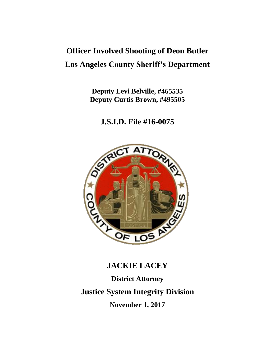## **Officer Involved Shooting of Deon Butler Los Angeles County Sheriff's Department**

**Deputy Levi Belville, #465535 Deputy Curtis Brown, #495505**

**J.S.I.D. File #16-0075**



# **JACKIE LACEY District Attorney Justice System Integrity Division November 1, 2017**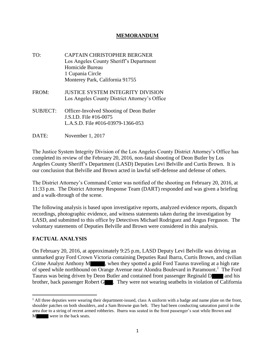## **MEMORANDUM**

- TO: CAPTAIN CHRISTOPHER BERGNER Los Angeles County Sheriff's Department Homicide Bureau 1 Cupania Circle Monterey Park, California 91755
- FROM: JUSTICE SYSTEM INTEGRITY DIVISION Los Angeles County District Attorney's Office
- SUBJECT: Officer-Involved Shooting of Deon Butler J.S.I.D. File #16-0075 L.A.S.D. File #016-03979-1366-053
- DATE: November 1, 2017

The Justice System Integrity Division of the Los Angeles County District Attorney's Office has completed its review of the February 20, 2016, non-fatal shooting of Deon Butler by Los Angeles County Sheriff's Department (LASD) Deputies Levi Belville and Curtis Brown. It is our conclusion that Belville and Brown acted in lawful self-defense and defense of others.

The District Attorney's Command Center was notified of the shooting on February 20, 2016, at 11:33 p.m. The District Attorney Response Team (DART) responded and was given a briefing and a walk-through of the scene.

The following analysis is based upon investigative reports, analyzed evidence reports, dispatch recordings, photographic evidence, and witness statements taken during the investigation by LASD, and submitted to this office by Detectives Michael Rodriguez and Angus Ferguson. The voluntary statements of Deputies Belville and Brown were considered in this analysis.

## **FACTUAL ANALYSIS**

 $\overline{a}$ 

On February 20, 2016, at approximately 9:25 p.m, LASD Deputy Levi Belville was driving an unmarked gray Ford Crown Victoria containing Deputies Raul Ibarra, Curtis Brown, and civilian Crime Analyst Anthony M , when they spotted a gold Ford Taurus traveling at a high rate of speed while northbound on Orange Avenue near Alondra Boulevard in Paramount.<sup>1</sup> The Ford Taurus was being driven by Deon Butler and contained front passenger Reginald D and his brother, back passenger Robert G  $\blacksquare$ . They were not wearing seatbelts in violation of California

<sup>&</sup>lt;sup>1</sup> All three deputies were wearing their department-issued, class A uniform with a badge and name plate on the front, shoulder patches on both shoulders, and a Sam Browne gun belt. They had been conducting saturation patrol in the area due to a string of recent armed robberies. Ibarra was seated in the front passenger's seat while Brown and M were in the back seats.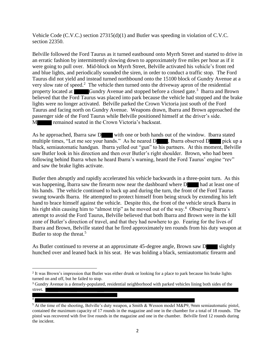Vehicle Code (C.V.C.) section 27315(d)(1) and Butler was speeding in violation of C.V.C. section 22350.

Belville followed the Ford Taurus as it turned eastbound onto Myrrh Street and started to drive in an erratic fashion by intermittently slowing down to approximately five miles per hour as if it were going to pull over. Mid-block on Myrrh Street, Belville activated his vehicle's front red and blue lights, and periodically sounded the siren, in order to conduct a traffic stop. The Ford Taurus did not yield and instead turned northbound onto the 15100 block of Gundry Avenue at a very slow rate of speed.<sup>2</sup> The vehicle then turned onto the driveway apron of the residential property located at Gundry Avenue and stopped before a closed gate.<sup>3</sup> Ibarra and Brown believed that the Ford Taurus was placed into park because the vehicle had stopped and the brake lights were no longer activated. Belville parked the Crown Victoria just south of the Ford Taurus and facing north on Gundry Avenue. Weapons drawn, Ibarra and Brown approached the passenger side of the Ford Taurus while Belville positioned himself at the driver's side. M **remained seated in the Crown Victoria's backseat.** 

As he approached, Ibarra saw D with one or both hands out of the window. Ibarra stated multiple times, "Let me see your hands." As he neared D , Ibarra observed D pick up a black, semiautomatic handgun. Ibarra yelled out "gun" to his partners. At this moment, Belville saw Butler look in his direction and then over Butler's right shoulder. Brown, who had been following behind Ibarra when he heard Ibarra's warning, heard the Ford Taurus' engine "rev" and saw the brake lights activate.

Butler then abruptly and rapidly accelerated his vehicle backwards in a three-point turn. As this was happening, Ibarra saw the firearm now near the dashboard where D had at least one of his hands. The vehicle continued to back up and during the turn, the front of the Ford Taurus swung towards Ibarra. He attempted to protect himself from being struck by extending his left hand to brace himself against the vehicle. Despite this, the front of the vehicle struck Ibarra in his right shin causing him to "almost trip" as he moved out of the way.<sup>4</sup> Observing Ibarra's attempt to avoid the Ford Taurus, Belville believed that both Ibarra and Brown were in the kill zone of Butler's direction of travel, and that they had nowhere to go. Fearing for the lives of Ibarra and Brown, Belville stated that he fired approximately ten rounds from his duty weapon at Butler to stop the threat.<sup>5</sup>

As Butler continued to reverse at an approximate 45-degree angle, Brown saw D slightly hunched over and leaned back in his seat. He was holding a black, semiautomatic firearm and

 $\overline{a}$ 

4

<sup>5</sup> At the time of the shooting, Belville's duty weapon, a Smith & Wesson model M&P9, 9mm semiautomatic pistol, contained the maximum capacity of 17 rounds in the magazine and one in the chamber for a total of 18 rounds. The pistol was recovered with five live rounds in the magazine and one in the chamber. Belville fired 12 rounds during the incident.

<sup>&</sup>lt;sup>2</sup> It was Brown's impression that Butler was either drunk or looking for a place to park because his brake lights turned on and off, but he failed to stop.

<sup>&</sup>lt;sup>3</sup> Gundry Avenue is a densely-populated, residential neighborhood with parked vehicles lining both sides of the street.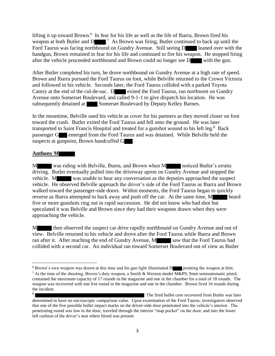lifting it up toward Brown.<sup>6</sup> In fear for his life as well as the life of Ibarra, Brown fired his weapon at both Butler and D  $\blacksquare$ <sup>7</sup> As Brown was firing, Butler continued to back up until the Ford Taurus was facing northbound on Gundry Avenue. Still seeing D leaned over with the handgun, Brown remained in fear for his life and continued to fire his weapon. He stopped firing after the vehicle proceeded northbound and Brown could no longer see D with the gun.

After Butler completed his turn, he drove northbound on Gundry Avenue at a high rate of speed. Brown and Ibarra pursued the Ford Taurus on foot, while Belville returned to the Crown Victoria and followed in his vehicle. Seconds later, the Ford Taurus collided with a parked Toyota Camry at the end of the cul-de-sac. D exited the Ford Taurus, ran northwest on Gundry Avenue onto Somerset Boulevard, and called 9-1-1 to give dispatch his location. He was subsequently detained at Somerset Boulevard by Deputy Kelley Barnes.

In the meantime, Belville used his vehicle as cover for his partners as they moved closer on foot toward the crash. Butler exited the Ford Taurus and fell onto the ground. He was later transported to Saint Francis Hospital and treated for a gunshot wound to his left leg.<sup>8</sup> Back passenger G emerged from the Ford Taurus and was detained. While Belville held the suspects at gunpoint, Brown handcuffed G  $\blacksquare$ .

## **Anthony M**

 $\overline{a}$ 

M was riding with Belville, Ibarra, and Brown when M noticed Butler's erratic driving. Butler eventually pulled into the driveway apron on Gundry Avenue and stopped the vehicle. M was unable to hear any conversation as the deputies approached the suspect vehicle. He observed Belville approach the driver's side of the Ford Taurus as Ibarra and Brown walked toward the passenger-side doors. Within moments, the Ford Taurus began to quickly reverse as Ibarra attempted to back away and push off the car. At the same time, M heard five or more gunshots ring out in rapid succession. He did not know who had shot but speculated it was Belville and Brown since they had their weapons drawn when they were approaching the vehicle.

M then observed the suspect car drive rapidly northbound on Gundry Avenue and out of view. Belville returned to his vehicle and drove after the Ford Taurus while Ibarra and Brown ran after it. After reaching the end of Gundry Avenue, M saw that the Ford Taurus had collided with a second car. An individual ran toward Somerset Boulevard out of view as Butler

 $6$  Brown's own weapon was drawn at this time and his gun light illuminated D pointing the weapon at him. <sup>7</sup> At the time of the shooting, Brown's duty weapon, a Smith & Wesson model M&P9, 9mm semiautomatic pistol, contained the maximum capacity of 17 rounds in the magazine and one in the chamber for a total of 18 rounds. The weapon was recovered with one live round in the magazine and one in the chamber. Brown fired 16 rounds during the incident.

<sup>8</sup> The fired bullet core recovered from Butler was later determined to have no microscopic comparison value. Upon examination of the Ford Taurus, investigators observed that one of the five possible bullet impact marks on the driver-side door penetrated into the vehicle's interior. The penetrating round was low in the door, traveled through the interior "map pocket" on the door, and into the lower left cushion of the driver's seat where blood was present.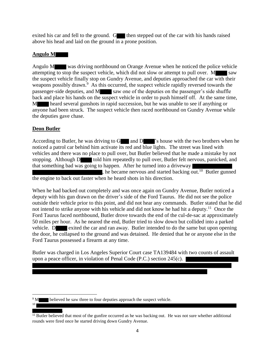exited his car and fell to the ground. G then stepped out of the car with his hands raised above his head and laid on the ground in a prone position.

### **Angulo M**

Angulo M was driving northbound on Orange Avenue when he noticed the police vehicle attempting to stop the suspect vehicle, which did not slow or attempt to pull over. M saw the suspect vehicle finally stop on Gundry Avenue, and deputies approached the car with their weapons possibly drawn.<sup>9</sup> As this occurred, the suspect vehicle rapidly reversed towards the passenger-side deputies, and M saw one of the deputies on the passenger's side shuffle back and place his hands on the suspect vehicle in order to push himself off. At the same time, M heard several gunshots in rapid succession, but he was unable to see if anything or anyone had been struck. The suspect vehicle then raced northbound on Gundry Avenue while the deputies gave chase.

## **Deon Butler**

l

10

According to Butler, he was driving to  $G$  and  $D$  's house with the two brothers when he noticed a patrol car behind him activate its red and blue lights. The street was lined with vehicles and there was no place to pull over, but Butler believed that he made a mistake by not stopping. Although D told him repeatedly to pull over, Butler felt nervous, panicked, and that something bad was going to happen. After he turned into a driveway , he became nervous and started backing out.<sup>10</sup> Butler gunned the engine to back out faster when he heard shots in his direction.

When he had backed out completely and was once again on Gundry Avenue, Butler noticed a deputy with his gun drawn on the driver's side of the Ford Taurus. He did not see the police outside their vehicle prior to this point, and did not hear any commands. Butler stated that he did not intend to strike anyone with his vehicle and did not know he had hit a deputy.<sup>11</sup> Once the Ford Taurus faced northbound, Butler drove towards the end of the cul-de-sac at approximately 50 miles per hour. As he neared the end, Butler tried to slow down but collided into a parked vehicle. D exited the car and ran away. Butler intended to do the same but upon opening the door, he collapsed to the ground and was detained. He denied that he or anyone else in the Ford Taurus possessed a firearm at any time.

Butler was charged in Los Angeles Superior Court case TA139484 with two counts of assault upon a peace officer, in violation of Penal Code (P.C.) section 245(c).

<sup>&</sup>lt;sup>9</sup> M believed he saw three to four deputies approach the suspect vehicle.

<sup>.</sup> <sup>11</sup> Butler believed that most of the gunfire occurred as he was backing out. He was not sure whether additional rounds were fired once he started driving down Gundry Avenue.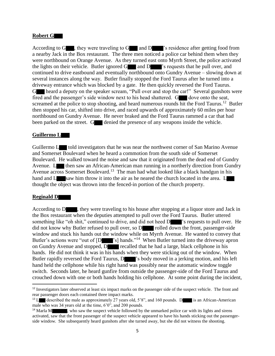#### **Robert G**

According to G  $\blacksquare$ , they were traveling to G  $\blacksquare$  and D  $\blacksquare$ 's residence after getting food from a nearby Jack in the Box restaurant. The three men noticed a police car behind them when they were northbound on Orange Avenue. As they turned east onto Myrrh Street, the police activated the lights on their vehicle. Butler ignored  $G$  and  $D$  's requests that he pull over, and continued to drive eastbound and eventually northbound onto Gundry Avenue – slowing down at several instances along the way. Butler finally stopped the Ford Taurus after he turned into a driveway entrance which was blocked by a gate. He then quickly reversed the Ford Taurus. G heard a deputy on the speaker scream, "Pull over and stop the car!" Several gunshots were fired and the passenger's side window next to his head shattered. G dove onto the seat, screamed at the police to stop shooting, and heard numerous rounds hit the Ford Taurus.<sup>12</sup> Butler then stopped his car, shifted into drive, and raced upwards of approximately 60 miles per hour northbound on Gundry Avenue. He never braked and the Ford Taurus rammed a car that had been parked on the street. G denied the presence of any weapons inside the vehicle.

#### **Guillermo L**

Guillermo L told investigators that he was near the northwest corner of San Marino Avenue and Somerset Boulevard when he heard a commotion from the south side of Somerset Boulevard. He walked toward the noise and saw that it originated from the dead end of Gundry Avenue. L then saw an African-American man running in a northerly direction from Gundry Avenue across Somerset Boulevard.<sup>13</sup> The man had what looked like a black handgun in his hand and L saw him throw it into the air as he neared the church located in the area. L thought the object was thrown into the fenced-in portion of the church property.

#### **Reginald D**

 $\overline{a}$ 

According to D , they were traveling to his house after stopping at a liquor store and Jack in the Box restaurant when the deputies attempted to pull over the Ford Taurus. Butler uttered something like "oh shit," continued to drive, and did not heed D  $\blacksquare$ " is requests to pull over. He did not know why Butler refused to pull over, so D rolled down the front, passenger-side window and stuck his hands out the window while on Myrrh Avenue. He wanted to convey that Butler's actions were "out of [D  $\blacksquare$ "s] hands."<sup>14</sup> When Butler turned into the driveway apron on Gundry Avenue and stopped,  $\overline{D}$  recalled that he had a large, black cellphone in his hands. He did not think it was in his hands when they were sticking out of the window. When Butler rapidly reversed the Ford Taurus, D <sup>'</sup>s body moved in a jerking motion, and his left hand held the cellphone while his right hand was possibly near the automatic window toggle switch. Seconds later, he heard gunfire from outside the passenger-side of the Ford Taurus and crouched down with one or both hands holding his cellphone. At some point during the incident,

<sup>&</sup>lt;sup>12</sup> Investigators later observed at least six impact marks on the passenger side of the suspect vehicle. The front and rear passenger doors each contained three impact marks.

<sup>&</sup>lt;sup>13</sup> L described the male as approximately 27 years old,  $5'8$ ", and 160 pounds. D is an African-American male who was 34 years old at the time, 6'0", and 200 pounds.

<sup>&</sup>lt;sup>14</sup> Marla M , who saw the suspect vehicle followed by the unmarked police car with its lights and sirens activated, saw that the front passenger of the suspect vehicle appeared to have his hands sticking out the passengerside window. She subsequently heard gunshots after she turned away, but she did not witness the shooting.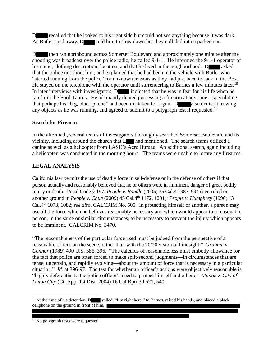D recalled that he looked to his right side but could not see anything because it was dark. As Butler sped away, D told him to slow down but they collided into a parked car.

D then ran northbound across Somerset Boulevard and approximately one minute after the shooting was broadcast over the police radio, he called 9-1-1. He informed the 9-1-1 operator of his name, clothing description, location, and that he lived in the neighborhood. D asked that the police not shoot him, and explained that he had been in the vehicle with Butler who "started running from the police" for unknown reasons as they had just been to Jack in the Box. He stayed on the telephone with the operator until surrendering to Barnes a few minutes later.<sup>15</sup> In later interviews with investigators, D indicated that he was in fear for his life when he ran from the Ford Taurus. He adamantly denied possessing a firearm at any time – speculating that perhaps his "big, black phone" had been mistaken for a gun. D also denied throwing any objects as he was running, and agreed to submit to a polygraph test if requested.<sup>16</sup>

## **Search for Firearm**

In the aftermath, several teams of investigators thoroughly searched Somerset Boulevard and its vicinity, including around the church that L had mentioned. The search teams utilized a canine as well as a helicopter from LASD's Aero Bureau. An additional search, again including a helicopter, was conducted in the morning hours. The teams were unable to locate any firearms.

## **LEGAL ANALYSIS**

California law permits the use of deadly force in self-defense or in the defense of others if that person actually and reasonably believed that he or others were in imminent danger of great bodily injury or death. Penal Code § 197; *People v. Randle* (2005) 35 Cal.4th 987, 994 (overruled on another ground in *People v. Chun* (2009) 45 Cal.4th 1172, 1201); *People v. Humphrey* (1996) 13 Cal.4th 1073, 1082; *see also,* CALCRIM No. 505. In protecting himself or another, a person may use all the force which he believes reasonably necessary and which would appear to a reasonable person, in the same or similar circumstances, to be necessary to prevent the injury which appears to be imminent. CALCRIM No. 3470.

"The reasonableness of the particular force used must be judged from the perspective of a reasonable officer on the scene, rather than with the 20/20 vision of hindsight." *Graham v. Connor* (1989) 490 U.S. 386, 396. "The calculus of reasonableness must embody allowance for the fact that police are often forced to make split-second judgments—in circumstances that are tense, uncertain, and rapidly evolving—about the amount of force that is necessary in a particular situation." *Id.* at 396-97. The test for whether an officer's actions were objectively reasonable is "highly deferential to the police officer's need to protect himself and others." *Munoz v. City of Union City* (Ct. App. 1st Dist. 2004) 16 Cal.Rptr.3d 521, 540.

 $\overline{a}$ 

<sup>&</sup>lt;sup>15</sup> At the time of his detention, D yelled, "I'm right here," to Barnes, raised his hands, and placed a black cellphone on the ground in front of him.

<sup>&</sup>lt;sup>16</sup> No polygraph tests were requested.